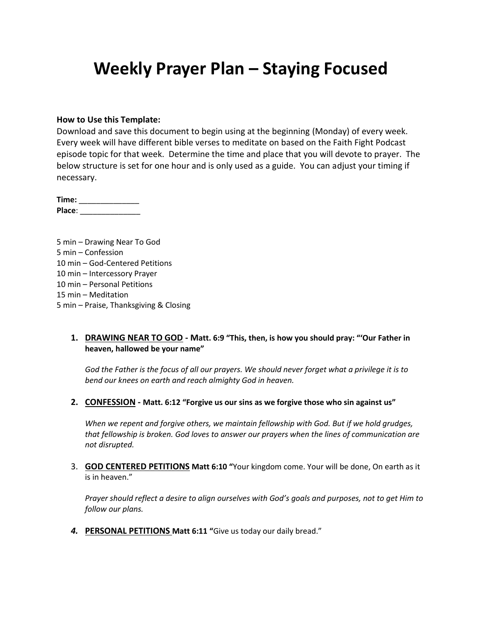# **Weekly Prayer Plan – Staying Focused**

#### **How to Use this Template:**

Download and save this document to begin using at the beginning (Monday) of every week. Every week will have different bible verses to meditate on based on the Faith Fight Podcast episode topic for that week. Determine the time and place that you will devote to prayer. The below structure is set for one hour and is only used as a guide. You can adjust your timing if necessary.

**Time:** \_\_\_\_\_\_\_\_\_\_\_\_\_\_ **Place**: \_\_\_\_\_\_\_\_\_\_\_\_\_\_

5 min – Drawing Near To God 5 min – Confession 10 min – God-Centered Petitions 10 min – Intercessory Prayer 10 min – Personal Petitions 15 min – Meditation 5 min – Praise, Thanksgiving & Closing

#### **1. DRAWING NEAR TO GOD - Matt. 6:9 "This, then, is how you should pray: "'Our Father in heaven, hallowed be your name"**

*God the Father is the focus of all our prayers. We should never forget what a privilege it is to bend our knees on earth and reach almighty God in heaven.*

**2. CONFESSION - Matt. 6:12 "Forgive us our sins as we forgive those who sin against us"**

*When we repent and forgive others, we maintain fellowship with God. But if we hold grudges, that fellowship is broken. God loves to answer our prayers when the lines of communication are not disrupted.*

3. **GOD CENTERED PETITIONS Matt 6:10 "**Your kingdom come. Your will be done, On earth as it is in heaven."

*Prayer should reflect a desire to align ourselves with God's goals and purposes, not to get Him to follow our plans.*

*4.* **PERSONAL PETITIONS Matt 6:11 "**Give us today our daily bread."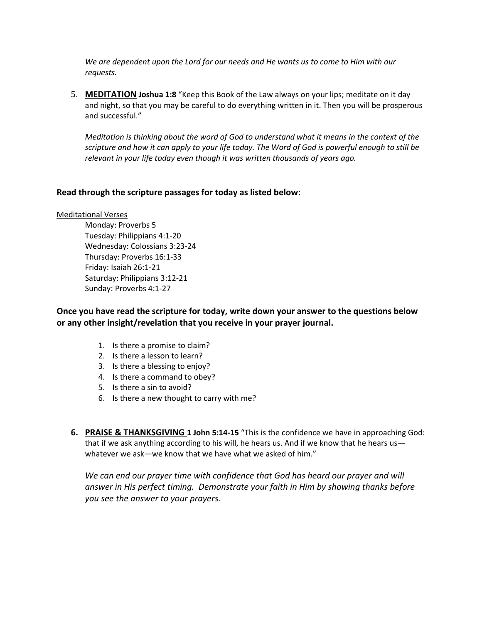*We are dependent upon the Lord for our needs and He wants us to come to Him with our requests.*

5. **MEDITATION Joshua 1:8** "Keep this Book of the Law always on your lips; meditate on it day and night, so that you may be careful to do everything written in it. Then you will be prosperous and successful."

*Meditation is thinking about the word of God to understand what it means in the context of the scripture and how it can apply to your life today. The Word of God is powerful enough to still be relevant in your life today even though it was written thousands of years ago.*

## **Read through the scripture passages for today as listed below:**

#### Meditational Verses

Monday: Proverbs 5 Tuesday: Philippians 4:1-20 Wednesday: Colossians 3:23-24 Thursday: Proverbs 16:1-33 Friday: Isaiah 26:1-21 Saturday: Philippians 3:12-21 Sunday: Proverbs 4:1-27

**Once you have read the scripture for today, write down your answer to the questions below or any other insight/revelation that you receive in your prayer journal.** 

- 1. Is there a promise to claim?
- 2. Is there a lesson to learn?
- 3. Is there a blessing to enjoy?
- 4. Is there a command to obey?
- 5. Is there a sin to avoid?
- 6. Is there a new thought to carry with me?
- **6. PRAISE & THANKSGIVING 1 John 5:14-15** "This is the confidence we have in approaching God: that if we ask anything according to his will, he hears us. And if we know that he hears us whatever we ask—we know that we have what we asked of him."

*We can end our prayer time with confidence that God has heard our prayer and will answer in His perfect timing. Demonstrate your faith in Him by showing thanks before you see the answer to your prayers.*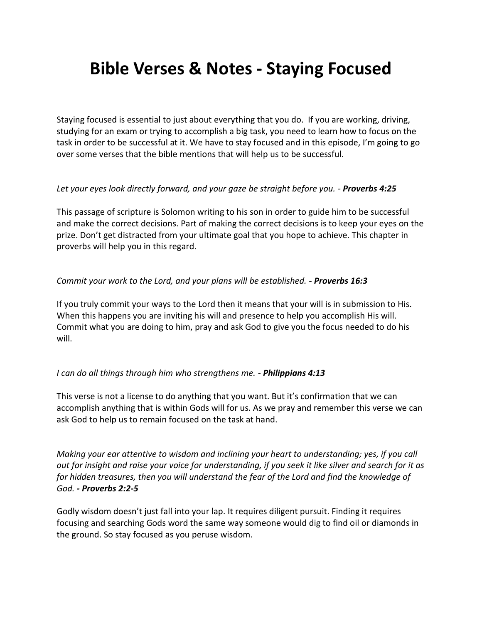# **Bible Verses & Notes - Staying Focused**

Staying focused is essential to just about everything that you do. If you are working, driving, studying for an exam or trying to accomplish a big task, you need to learn how to focus on the task in order to be successful at it. We have to stay focused and in this episode, I'm going to go over some verses that the bible mentions that will help us to be successful.

## *Let your eyes look directly forward, and your gaze be straight before you. - Proverbs 4:25*

This passage of scripture is Solomon writing to his son in order to guide him to be successful and make the correct decisions. Part of making the correct decisions is to keep your eyes on the prize. Don't get distracted from your ultimate goal that you hope to achieve. This chapter in proverbs will help you in this regard.

## *Commit your work to the Lord, and your plans will be established. - Proverbs 16:3*

If you truly commit your ways to the Lord then it means that your will is in submission to His. When this happens you are inviting his will and presence to help you accomplish His will. Commit what you are doing to him, pray and ask God to give you the focus needed to do his will.

#### *I can do all things through him who strengthens me. - Philippians 4:13*

This verse is not a license to do anything that you want. But it's confirmation that we can accomplish anything that is within Gods will for us. As we pray and remember this verse we can ask God to help us to remain focused on the task at hand.

*Making your ear attentive to wisdom and inclining your heart to understanding; yes, if you call out for insight and raise your voice for understanding, if you seek it like silver and search for it as for hidden treasures, then you will understand the fear of the Lord and find the knowledge of God. - Proverbs 2:2-5*

Godly wisdom doesn't just fall into your lap. It requires diligent pursuit. Finding it requires focusing and searching Gods word the same way someone would dig to find oil or diamonds in the ground. So stay focused as you peruse wisdom.